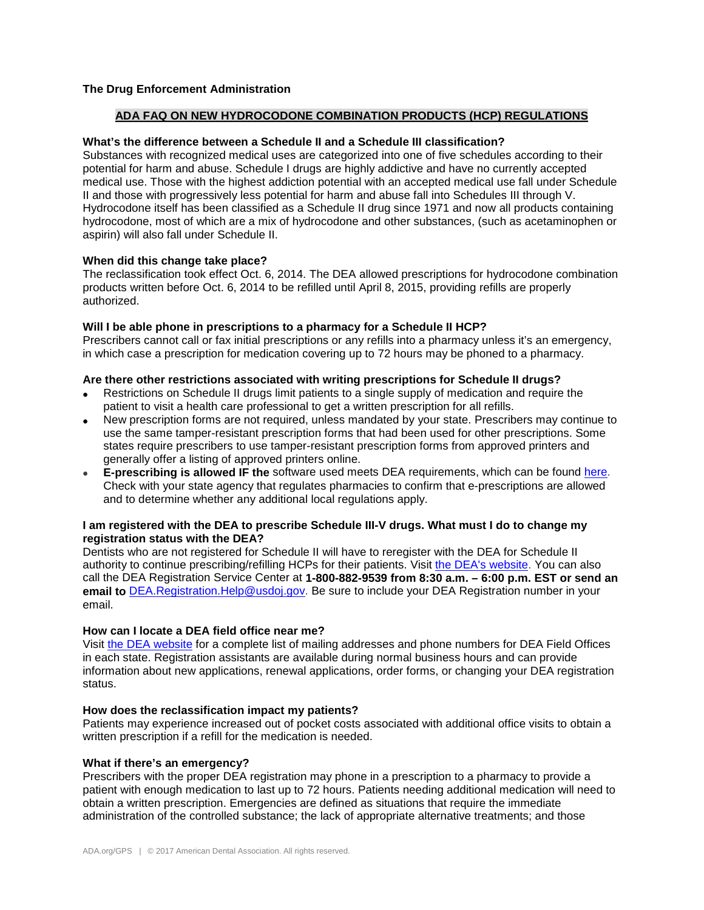# **The Drug Enforcement Administration**

## **ADA FAQ ON NEW HYDROCODONE COMBINATION PRODUCTS (HCP) REGULATIONS**

## **What's the difference between a Schedule II and a Schedule III classification?**

Substances with recognized medical uses are categorized into one of five schedules according to their potential for harm and abuse. Schedule I drugs are highly addictive and have no currently accepted medical use. Those with the highest addiction potential with an accepted medical use fall under Schedule II and those with progressively less potential for harm and abuse fall into Schedules III through V. Hydrocodone itself has been classified as a Schedule II drug since 1971 and now all products containing hydrocodone, most of which are a mix of hydrocodone and other substances, (such as acetaminophen or aspirin) will also fall under Schedule II.

## **When did this change take place?**

The reclassification took effect Oct. 6, 2014. The DEA allowed prescriptions for hydrocodone combination products written before Oct. 6, 2014 to be refilled until April 8, 2015, providing refills are properly authorized.

## **Will I be able phone in prescriptions to a pharmacy for a Schedule II HCP?**

Prescribers cannot call or fax initial prescriptions or any refills into a pharmacy unless it's an emergency, in which case a prescription for medication covering up to 72 hours may be phoned to a pharmacy.

# **Are there other restrictions associated with writing prescriptions for Schedule II drugs?**

- Restrictions on Schedule II drugs limit patients to a single supply of medication and require the patient to visit a health care professional to get a written prescription for all refills.
- New prescription forms are not required, unless mandated by your state. Prescribers may continue to use the same tamper-resistant prescription forms that had been used for other prescriptions. Some states require prescribers to use tamper-resistant prescription forms from approved printers and generally offer a listing of approved printers online.
- **E-prescribing is allowed IF the** software used meets DEA requirements, which can be found [here.](http://www.deadiversion.usdoj.gov/ecomm/e_rx/faq/practitioners.htm) Check with your state agency that regulates pharmacies to confirm that e-prescriptions are allowed and to determine whether any additional local regulations apply.

## **I am registered with the DEA to prescribe Schedule III-V drugs. What must I do to change my registration status with the DEA?**

Dentists who are not registered for Schedule II will have to reregister with the DEA for Schedule II authority to continue prescribing/refilling HCPs for their patients. Visit [the DEA's website.](http://www.deadiversion.usdoj.gov/drugreg/) You can also call the DEA Registration Service Center at **1-800-882-9539 from 8:30 a.m. – 6:00 p.m. EST or send an**  email to [DEA.Registration.Help@usdoj.gov.](mailto:DEA.Registration.Help@usdoj.gov) Be sure to include your DEA Registration number in your email.

#### **How can I locate a DEA field office near me?**

Visit [the DEA website](http://www.deadiversion.usdoj.gov/drugreg/offices/index.html) for a complete list of mailing addresses and phone numbers for DEA Field Offices in each state. Registration assistants are available during normal business hours and can provide information about new applications, renewal applications, order forms, or changing your DEA registration status.

### **How does the reclassification impact my patients?**

Patients may experience increased out of pocket costs associated with additional office visits to obtain a written prescription if a refill for the medication is needed.

#### **What if there's an emergency?**

Prescribers with the proper DEA registration may phone in a prescription to a pharmacy to provide a patient with enough medication to last up to 72 hours. Patients needing additional medication will need to obtain a written prescription. Emergencies are defined as situations that require the immediate administration of the controlled substance; the lack of appropriate alternative treatments; and those